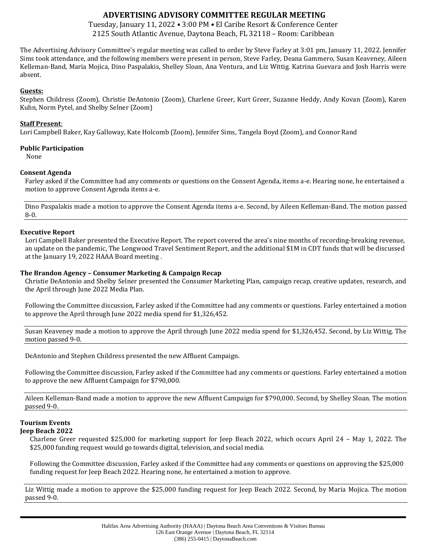# **ADVERTISING ADVISORY COMMITTEE REGULAR MEETING**

Tuesday, January 11, 2022 • 3:00 PM • El Caribe Resort & Conference Center 2125 South Atlantic Avenue, Daytona Beach, FL 32118 – Room: Caribbean

The Advertising Advisory Committee's regular meeting was called to order by Steve Farley at 3:01 pm, January 11, 2022. Jennifer Sims took attendance, and the following members were present in person, Steve Farley, Deana Gammero, Susan Keaveney, Aileen Kelleman-Band, Maria Mojica, Dino Paspalakis, Shelley Sloan, Ana Ventura, and Liz Wittig. Katrina Guevara and Josh Harris were absent.

### **Guests:**

Stephen Childress (Zoom), Christie DeAntonio (Zoom), Charlene Greer, Kurt Greer, Suzanne Heddy, Andy Kovan (Zoom), Karen Kuhn, Norm Pytel, and Shelby Selner (Zoom)

### **Staff Present**:

Lori Campbell Baker, Kay Galloway, Kate Holcomb (Zoom), Jennifer Sims, Tangela Boyd (Zoom), and Connor Rand

### **Public Participation**

None

## **Consent Agenda**

Farley asked if the Committee had any comments or questions on the Consent Agenda, items a-e. Hearing none, he entertained a motion to approve Consent Agenda items a-e.

Dino Paspalakis made a motion to approve the Consent Agenda items a-e. Second, by Aileen Kelleman-Band. The motion passed 8-0.

### **Executive Report**

Lori Campbell Baker presented the Executive Report. The report covered the area's nine months of recording-breaking revenue, an update on the pandemic, The Longwood Travel Sentiment Report, and the additional \$1M in CDT funds that will be discussed at the January 19, 2022 HAAA Board meeting .

### **The Brandon Agency – Consumer Marketing & Campaign Recap**

Christie DeAntonio and Shelby Selner presented the Consumer Marketing Plan, campaign recap, creative updates, research, and the April through June 2022 Media Plan.

Following the Committee discussion, Farley asked if the Committee had any comments or questions. Farley entertained a motion to approve the April through June 2022 media spend for \$1,326,452.

Susan Keaveney made a motion to approve the April through June 2022 media spend for \$1,326,452. Second, by Liz Wittig. The motion passed 9-0.

DeAntonio and Stephen Childress presented the new Affluent Campaign.

Following the Committee discussion, Farley asked if the Committee had any comments or questions. Farley entertained a motion to approve the new Affluent Campaign for \$790,000.

Aileen Kelleman-Band made a motion to approve the new Affluent Campaign for \$790,000. Second, by Shelley Sloan. The motion passed 9-0.

# **Tourism Events**

**Jeep Beach 2022**

Charlene Greer requested \$25,000 for marketing support for Jeep Beach 2022, which occurs April 24 – May 1, 2022. The \$25,000 funding request would go towards digital, television, and social media.

Following the Committee discussion, Farley asked if the Committee had any comments or questions on approving the \$25,000 funding request for Jeep Beach 2022. Hearing none, he entertained a motion to approve.

Liz Wittig made a motion to approve the \$25,000 funding request for Jeep Beach 2022. Second, by Maria Mojica. The motion passed 9-0.